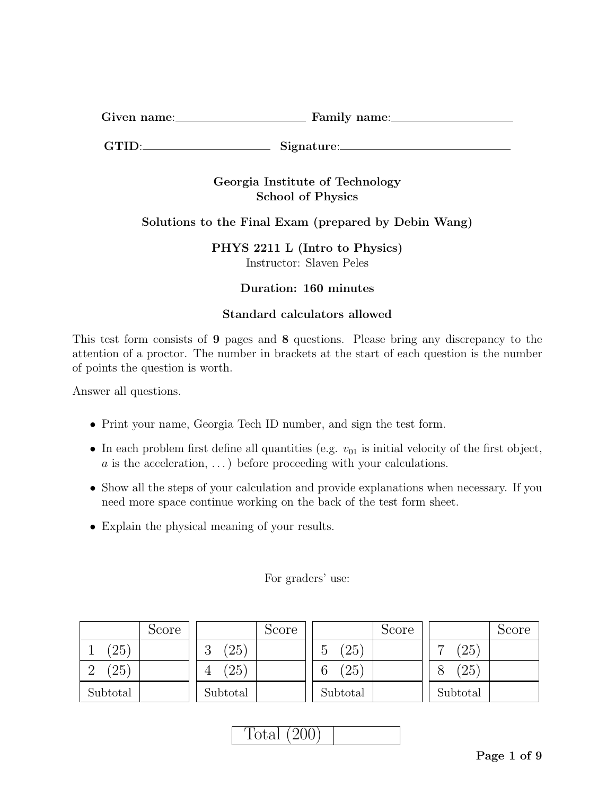| $\sim\cdot$<br>Given name: | Family name: |
|----------------------------|--------------|
|                            |              |

GTID: Signature:

## Georgia Institute of Technology School of Physics

# Solutions to the Final Exam (prepared by Debin Wang)

PHYS 2211 L (Intro to Physics) Instructor: Slaven Peles

## Duration: 160 minutes

## Standard calculators allowed

This test form consists of 9 pages and 8 questions. Please bring any discrepancy to the attention of a proctor. The number in brackets at the start of each question is the number of points the question is worth.

Answer all questions.

- Print your name, Georgia Tech ID number, and sign the test form.
- In each problem first define all quantities (e.g.  $v_{01}$  is initial velocity of the first object, a is the acceleration,  $\dots$ ) before proceeding with your calculations.
- Show all the steps of your calculation and provide explanations when necessary. If you need more space continue working on the back of the test form sheet.
- Explain the physical meaning of your results.

Score 1 (25) 2 (25) Subtotal Score 3 (25) 4 (25) Subtotal Score 5 (25) 6 (25) Subtotal Score 7 (25) 8 (25) Subtotal

### For graders' use: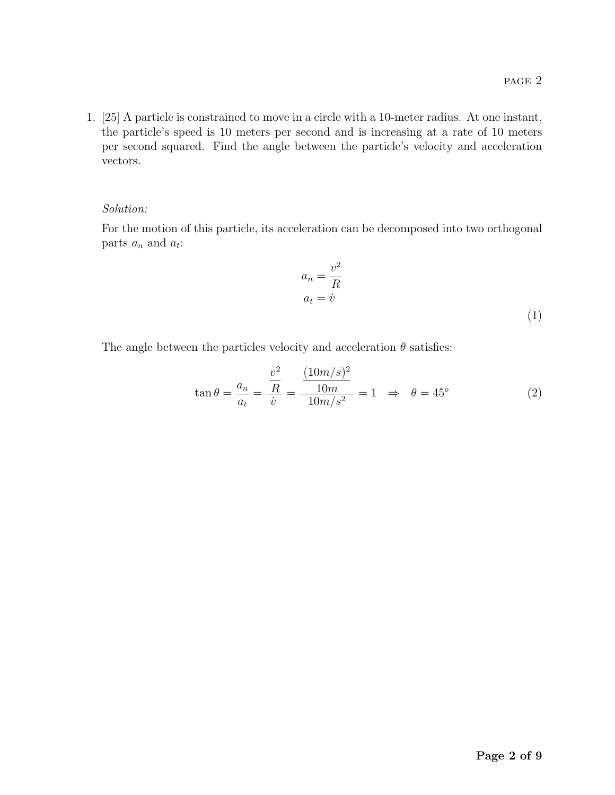1. [25] A particle is constrained to move in a circle with a 10-meter radius. At one instant, the particle's speed is 10 meters per second and is increasing at a rate of 10 meters per second squared. Find the angle between the particle's velocity and acceleration vectors.

#### Solution:

For the motion of this particle, its acceleration can be decomposed into two orthogonal parts  $a_n$  and  $a_t$ :

$$
a_n = \frac{v^2}{R}
$$
  

$$
a_t = \dot{v}
$$
 (1)

The angle between the particles velocity and acceleration  $\theta$  satisfies:

$$
\tan \theta = \frac{a_n}{a_t} = \frac{\frac{v^2}{R}}{\dot{v}} = \frac{\frac{(10m/s)^2}{10m}}{10m/s^2} = 1 \implies \theta = 45^{\circ}
$$
 (2)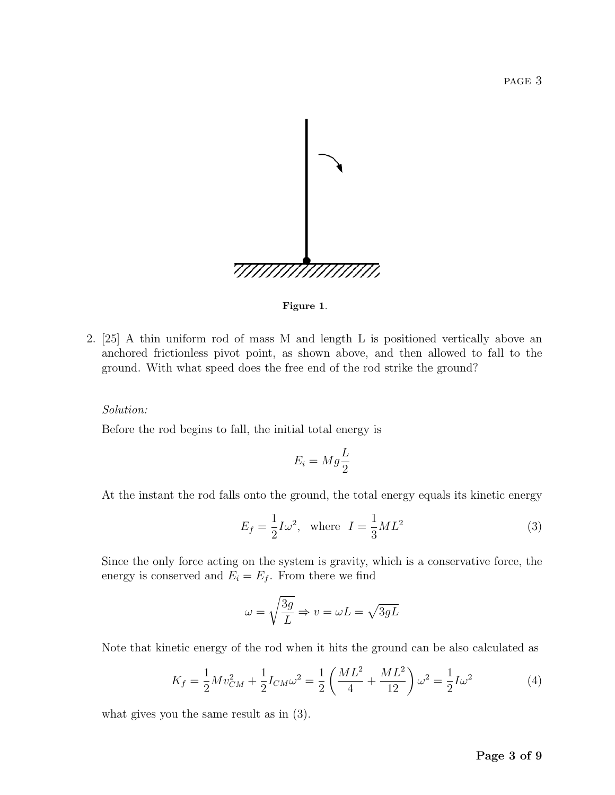

Figure 1.

2. [25] A thin uniform rod of mass M and length L is positioned vertically above an anchored frictionless pivot point, as shown above, and then allowed to fall to the ground. With what speed does the free end of the rod strike the ground?

#### Solution:

Before the rod begins to fall, the initial total energy is

$$
E_i = Mg\frac{L}{2}
$$

At the instant the rod falls onto the ground, the total energy equals its kinetic energy

$$
E_f = \frac{1}{2}I\omega^2, \quad \text{where} \quad I = \frac{1}{3}ML^2 \tag{3}
$$

Since the only force acting on the system is gravity, which is a conservative force, the energy is conserved and  $E_i = E_f$ . From there we find

$$
\omega = \sqrt{\frac{3g}{L}} \Rightarrow v = \omega L = \sqrt{3gL}
$$

Note that kinetic energy of the rod when it hits the ground can be also calculated as

$$
K_f = \frac{1}{2} M v_{CM}^2 + \frac{1}{2} I_{CM} \omega^2 = \frac{1}{2} \left( \frac{M L^2}{4} + \frac{M L^2}{12} \right) \omega^2 = \frac{1}{2} I \omega^2 \tag{4}
$$

what gives you the same result as in (3).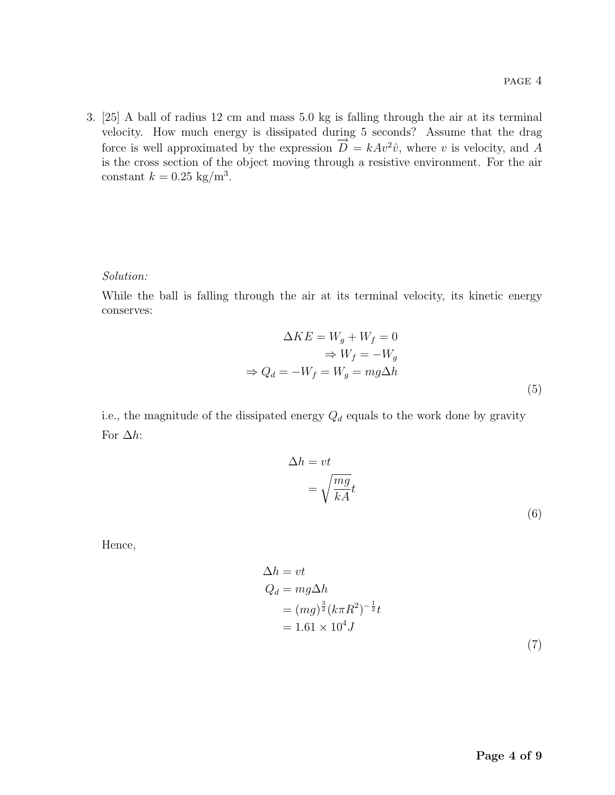3. [25] A ball of radius 12 cm and mass 5.0 kg is falling through the air at its terminal velocity. How much energy is dissipated during 5 seconds? Assume that the drag force is well approximated by the expression  $\overrightarrow{D} = kAv^2\hat{v}$ , where v is velocity, and A is the cross section of the object moving through a resistive environment. For the air constant  $k = 0.25 \text{ kg/m}^3$ .

#### Solution:

While the ball is falling through the air at its terminal velocity, its kinetic energy conserves:

$$
\Delta KE = W_g + W_f = 0
$$
  
\n
$$
\Rightarrow W_f = -W_g
$$
  
\n
$$
\Rightarrow Q_d = -W_f = W_g = mg\Delta h
$$
\n(5)

i.e., the magnitude of the dissipated energy  $Q_d$  equals to the work done by gravity For  $\Delta h$ :

$$
\Delta h = vt
$$
  
=  $\sqrt{\frac{mg}{kA}}t$  (6)

Hence,

$$
\Delta h = vt
$$
  
\n
$$
Q_d = mg\Delta h
$$
  
\n
$$
= (mg)^{\frac{3}{2}}(k\pi R^2)^{-\frac{1}{2}}t
$$
  
\n
$$
= 1.61 \times 10^4 J
$$
\n(7)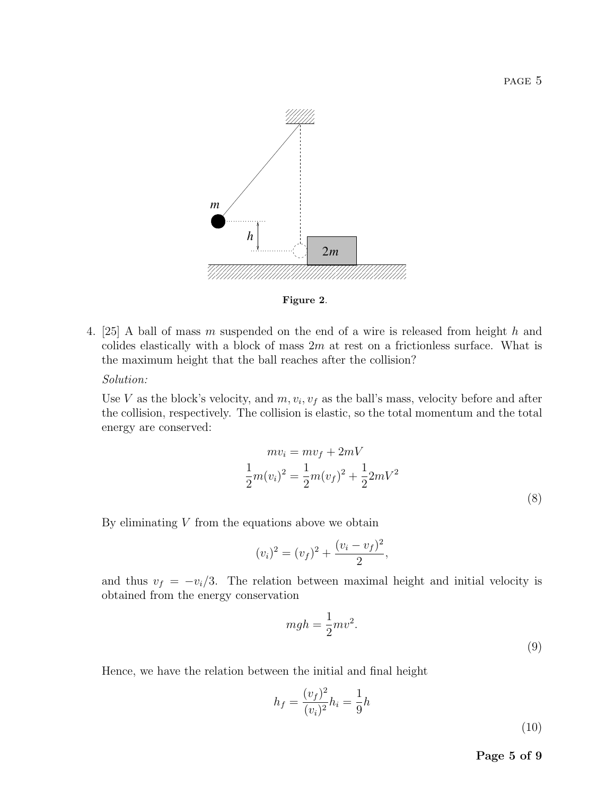

Figure 2.

4. [25] A ball of mass m suspended on the end of a wire is released from height h and colides elastically with a block of mass  $2m$  at rest on a frictionless surface. What is the maximum height that the ball reaches after the collision?

### Solution:

Use V as the block's velocity, and  $m, v_i, v_f$  as the ball's mass, velocity before and after the collision, respectively. The collision is elastic, so the total momentum and the total energy are conserved:

$$
mv_i = mv_f + 2mV
$$
  
\n
$$
\frac{1}{2}m(v_i)^2 = \frac{1}{2}m(v_f)^2 + \frac{1}{2}2mV^2
$$
\n(8)

By eliminating  $V$  from the equations above we obtain

$$
(v_i)^2 = (v_f)^2 + \frac{(v_i - v_f)^2}{2},
$$

and thus  $v_f = -v_i/3$ . The relation between maximal height and initial velocity is obtained from the energy conservation

$$
mgh = \frac{1}{2}mv^2.
$$
\n(9)

Hence, we have the relation between the initial and final height

$$
h_f = \frac{(v_f)^2}{(v_i)^2} h_i = \frac{1}{9}h
$$
\n(10)

Page 5 of 9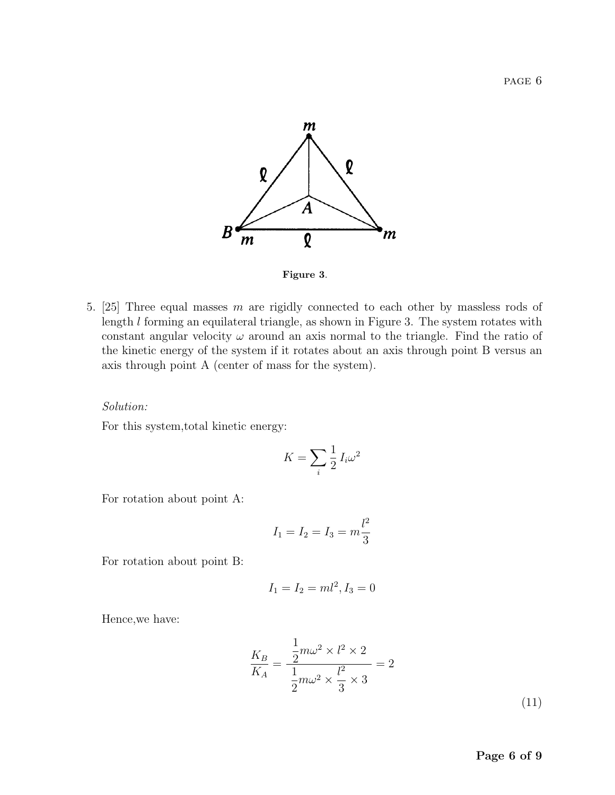

Figure 3.

5. [25] Three equal masses m are rigidly connected to each other by massless rods of length l forming an equilateral triangle, as shown in Figure 3. The system rotates with constant angular velocity  $\omega$  around an axis normal to the triangle. Find the ratio of the kinetic energy of the system if it rotates about an axis through point B versus an axis through point A (center of mass for the system).

#### Solution:

For this system,total kinetic energy:

$$
K = \sum_{i} \frac{1}{2} I_i \omega^2
$$

For rotation about point A:

$$
I_1 = I_2 = I_3 = m \frac{l^2}{3}
$$

For rotation about point B:

$$
I_1 = I_2 = ml^2, I_3 = 0
$$

Hence,we have:

$$
\frac{K_B}{K_A} = \frac{\frac{1}{2}m\omega^2 \times l^2 \times 2}{\frac{1}{2}m\omega^2 \times \frac{l^2}{3} \times 3} = 2
$$
\n(11)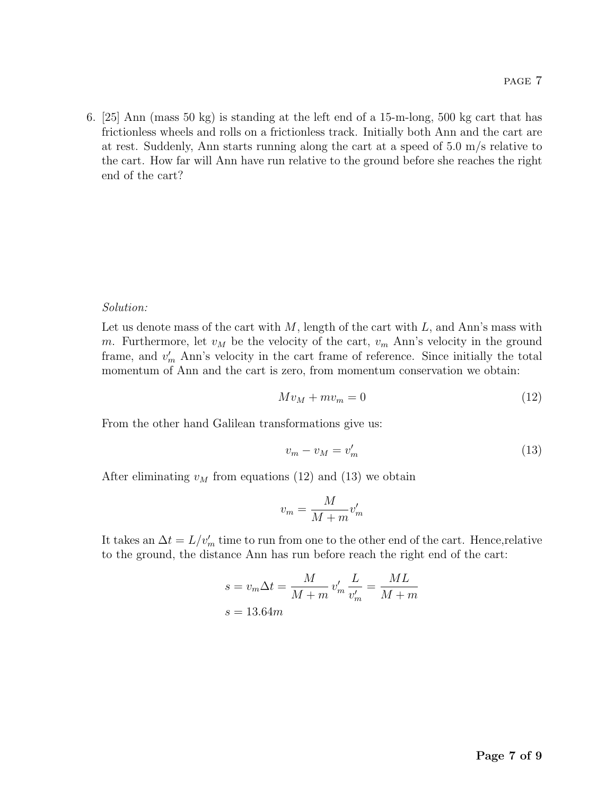6. [25] Ann (mass 50 kg) is standing at the left end of a 15-m-long, 500 kg cart that has frictionless wheels and rolls on a frictionless track. Initially both Ann and the cart are at rest. Suddenly, Ann starts running along the cart at a speed of  $5.0 \text{ m/s}$  relative to the cart. How far will Ann have run relative to the ground before she reaches the right end of the cart?

#### Solution:

Let us denote mass of the cart with  $M$ , length of the cart with  $L$ , and Ann's mass with m. Furthermore, let  $v_M$  be the velocity of the cart,  $v_m$  Ann's velocity in the ground frame, and  $v'_m$  Ann's velocity in the cart frame of reference. Since initially the total momentum of Ann and the cart is zero, from momentum conservation we obtain:

$$
Mv_M + mv_m = 0\tag{12}
$$

From the other hand Galilean transformations give us:

$$
v_m - v_M = v'_m \tag{13}
$$

After eliminating  $v_M$  from equations (12) and (13) we obtain

$$
v_m = \frac{M}{M+m}v_m'
$$

It takes an  $\Delta t = L/v_m'$  time to run from one to the other end of the cart. Hence, relative to the ground, the distance Ann has run before reach the right end of the cart:

$$
s = v_m \Delta t = \frac{M}{M+m} v'_m \frac{L}{v'_m} = \frac{ML}{M+m}
$$

$$
s = 13.64m
$$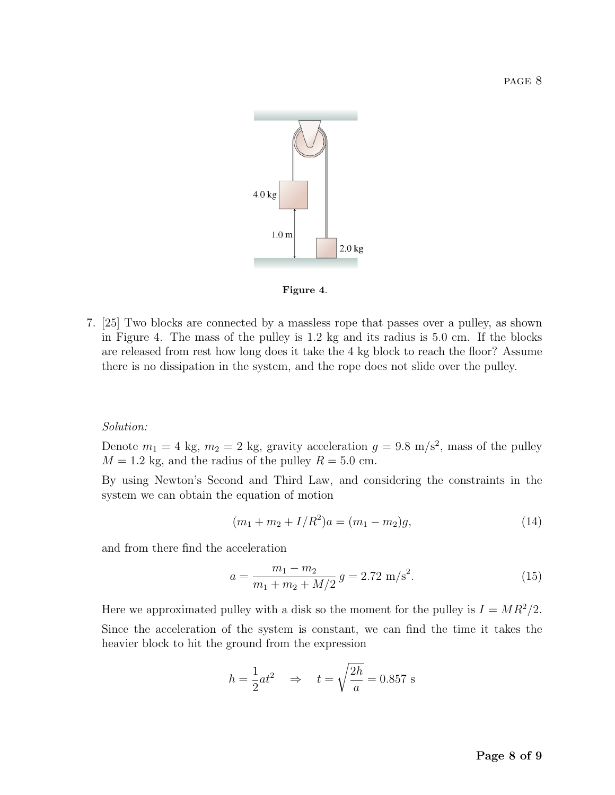

Figure 4.

7. [25] Two blocks are connected by a massless rope that passes over a pulley, as shown in Figure 4. The mass of the pulley is 1.2 kg and its radius is 5.0 cm. If the blocks are released from rest how long does it take the 4 kg block to reach the floor? Assume there is no dissipation in the system, and the rope does not slide over the pulley.

#### Solution:

Denote  $m_1 = 4$  kg,  $m_2 = 2$  kg, gravity acceleration  $g = 9.8$  m/s<sup>2</sup>, mass of the pulley  $M = 1.2$  kg, and the radius of the pulley  $R = 5.0$  cm.

By using Newton's Second and Third Law, and considering the constraints in the system we can obtain the equation of motion

$$
(m_1 + m_2 + I/R^2)a = (m_1 - m_2)g,
$$
\n(14)

and from there find the acceleration

$$
a = \frac{m_1 - m_2}{m_1 + m_2 + M/2} g = 2.72 \text{ m/s}^2. \tag{15}
$$

Here we approximated pulley with a disk so the moment for the pulley is  $I = MR^2/2$ . Since the acceleration of the system is constant, we can find the time it takes the heavier block to hit the ground from the expression

$$
h = \frac{1}{2}at^2 \quad \Rightarrow \quad t = \sqrt{\frac{2h}{a}} = 0.857 \text{ s}
$$